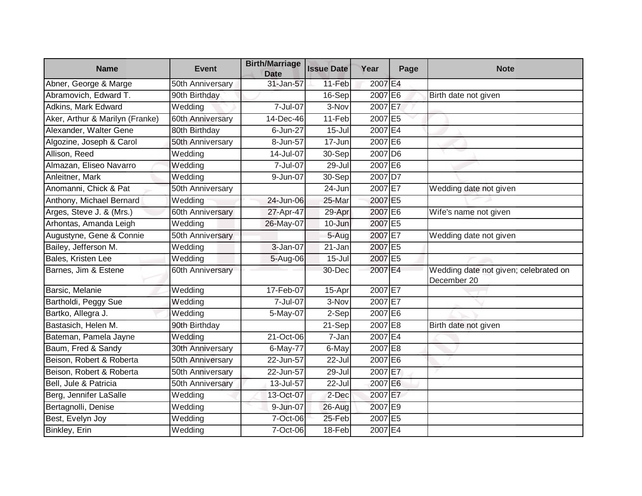| <b>Name</b>                     | <b>Event</b>     | <b>Birth/Marriage</b><br><b>Date</b> | <b>Issue Date</b>    | Year      | Page | <b>Note</b>                                          |
|---------------------------------|------------------|--------------------------------------|----------------------|-----------|------|------------------------------------------------------|
| Abner, George & Marge           | 50th Anniversary | 31-Jan-57                            | 11-Feb               | 2007 E4   |      |                                                      |
| Abramovich, Edward T.           | 90th Birthday    |                                      | 16-Sep               | 2007 E6   |      | Birth date not given                                 |
| Adkins, Mark Edward             | Wedding          | 7-Jul-07                             | 3-Nov                | 2007 E7   |      |                                                      |
| Aker, Arthur & Marilyn (Franke) | 60th Anniversary | 14-Dec-46                            | 11-Feb               | 2007 E5   |      |                                                      |
| Alexander, Walter Gene          | 80th Birthday    | 6-Jun-27                             | $15 -$ Jul           | 2007 E4   |      |                                                      |
| Algozine, Joseph & Carol        | 50th Anniversary | 8-Jun-57                             | 17-Jun               | 2007 E6   |      |                                                      |
| Allison, Reed                   | Wedding          | 14-Jul-07                            | 30-Sep               | $2007$ D6 |      |                                                      |
| Almazan, Eliseo Navarro         | Wedding          | 7-Jul-07                             | $\overline{29}$ -Jul | 2007 E6   |      |                                                      |
| Anleitner, Mark                 | Wedding          | 9-Jun-07                             | 30-Sep               | 2007 D7   |      |                                                      |
| Anomanni, Chick & Pat           | 50th Anniversary |                                      | 24-Jun               | 2007 E7   |      | Wedding date not given                               |
| Anthony, Michael Bernard        | Wedding          | 24-Jun-06                            | 25-Mar               | 2007 E5   |      |                                                      |
| Arges, Steve J. & (Mrs.)        | 60th Anniversary | 27-Apr-47                            | 29-Apr               | 2007 E6   |      | Wife's name not given                                |
| Arhontas, Amanda Leigh          | Wedding          | 26-May-07                            | 10-Jun               | 2007 E5   |      |                                                      |
| Augustyne, Gene & Connie        | 50th Anniversary |                                      | $5-Aug$              | 2007 E7   |      | Wedding date not given                               |
| Bailey, Jefferson M.            | Wedding          | 3-Jan-07                             | 21-Jan               | 2007 E5   |      |                                                      |
| Bales, Kristen Lee              | Wedding          | 5-Aug-06                             | $15 -$ Jul           | 2007 E5   |      |                                                      |
| Barnes, Jim & Estene            | 60th Anniversary |                                      | 30-Dec               | 2007 E4   |      | Wedding date not given; celebrated on<br>December 20 |
| Barsic, Melanie                 | Wedding          | 17-Feb-07                            | 15-Apr               | 2007 E7   |      |                                                      |
| Bartholdi, Peggy Sue            | Wedding          | 7-Jul-07                             | $\overline{3}$ -Nov  | 2007 E7   |      |                                                      |
| Bartko, Allegra J.              | Wedding          | 5-May-07                             | 2-Sep                | 2007 E6   |      |                                                      |
| Bastasich, Helen M.             | 90th Birthday    |                                      | 21-Sep               | 2007 E8   |      | Birth date not given                                 |
| Bateman, Pamela Jayne           | Wedding          | 21-Oct-06                            | 7-Jan                | 2007 E4   |      |                                                      |
| Baum, Fred & Sandy              | 30th Anniversary | 6-May-77                             | 6-May                | 2007 E8   |      |                                                      |
| Beison, Robert & Roberta        | 50th Anniversary | 22-Jun-57                            | 22-Jul               | 2007 E6   |      |                                                      |
| Beison, Robert & Roberta        | 50th Anniversary | 22-Jun-57                            | 29-Jul               | 2007 E7   |      |                                                      |
| Bell, Jule & Patricia           | 50th Anniversary | 13-Jul-57                            | 22-Jul               | 2007 E6   |      |                                                      |
| Berg, Jennifer LaSalle          | Wedding          | 13-Oct-07                            | 2-Dec                | 2007 E7   |      |                                                      |
| Bertagnolli, Denise             | Wedding          | 9-Jun-07                             | 26-Aug               | 2007 E9   |      |                                                      |
| Best, Evelyn Joy                | Wedding          | 7-Oct-06                             | 25-Feb               | 2007 E5   |      |                                                      |
| Binkley, Erin                   | Wedding          | 7-Oct-06                             | 18-Feb               | 2007 E4   |      |                                                      |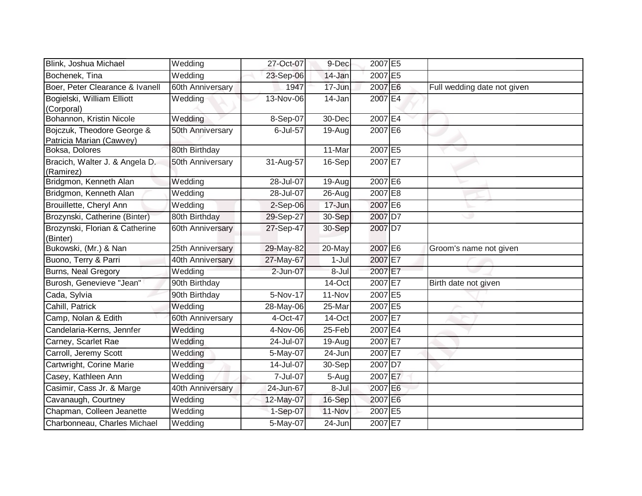| Blink, Joshua Michael                                  | Wedding          | 27-Oct-07 | 9-Dec     | 2007 E5 |                             |
|--------------------------------------------------------|------------------|-----------|-----------|---------|-----------------------------|
| Bochenek, Tina                                         | Wedding          | 23-Sep-06 | 14-Jan    | 2007 E5 |                             |
| Boer, Peter Clearance & Ivanell                        | 60th Anniversary | 1947      | 17-Jun    | 2007 E6 | Full wedding date not given |
| Bogielski, William Elliott<br>(Corporal)               | Wedding          | 13-Nov-06 | 14-Jan    | 2007 E4 |                             |
| Bohannon, Kristin Nicole                               | Wedding          | 8-Sep-07  | 30-Dec    | 2007 E4 |                             |
| Bojczuk, Theodore George &<br>Patricia Marian (Cawvey) | 50th Anniversary | 6-Jul-57  | 19-Aug    | 2007 E6 |                             |
| Boksa, Dolores                                         | 80th Birthday    |           | 11-Mar    | 2007 E5 | - 1                         |
| Bracich, Walter J. & Angela D.<br>(Ramirez)            | 50th Anniversary | 31-Aug-57 | 16-Sep    | 2007 E7 |                             |
| Bridgmon, Kenneth Alan                                 | Wedding          | 28-Jul-07 | 19-Aug    | 2007 E6 |                             |
| Bridgmon, Kenneth Alan                                 | Wedding          | 28-Jul-07 | 26-Aug    | 2007 E8 |                             |
| Brouillette, Cheryl Ann                                | Wedding          | 2-Sep-06  | 17-Jun    | 2007 E6 |                             |
| Brozynski, Catherine (Binter)                          | 80th Birthday    | 29-Sep-27 | 30-Sep    | 2007 D7 |                             |
| Brozynski, Florian & Catherine<br>(Binter)             | 60th Anniversary | 27-Sep-47 | 30-Sep    | 2007 D7 |                             |
| Bukowski, (Mr.) & Nan                                  | 25th Anniversary | 29-May-82 | 20-May    | 2007 E6 | Groom's name not given      |
| Buono, Terry & Parri                                   | 40th Anniversary | 27-May-67 | $1-Jul$   | 2007 E7 |                             |
| Burns, Neal Gregory                                    | Wedding          | 2-Jun-07  | $8 -$ Jul | 2007 E7 |                             |
| Burosh, Genevieve "Jean"                               | 90th Birthday    |           | 14-Oct    | 2007 E7 | Birth date not given        |
| Cada, Sylvia                                           | 90th Birthday    | 5-Nov-17  | 11-Nov    | 2007 E5 |                             |
| Cahill, Patrick                                        | Wedding          | 28-May-06 | 25-Mar    | 2007 E5 |                             |
| Camp, Nolan & Edith                                    | 60th Anniversary | 4-Oct-47  | 14-Oct    | 2007 E7 |                             |
| Candelaria-Kerns, Jennfer                              | Wedding          | 4-Nov-06  | $25-Feb$  | 2007 E4 |                             |
| Carney, Scarlet Rae                                    | Wedding          | 24-Jul-07 | 19-Aug    | 2007 E7 |                             |
| Carroll, Jeremy Scott                                  | Wedding          | 5-May-07  | 24-Jun    | 2007 E7 |                             |
| Cartwright, Corine Marie                               | Wedding          | 14-Jul-07 | 30-Sep    | 2007 D7 |                             |
| Casey, Kathleen Ann                                    | Wedding          | 7-Jul-07  | 5-Aug     | 2007 E7 |                             |
| Casimir, Cass Jr. & Marge                              | 40th Anniversary | 24-Jun-67 | 8-Jul     | 2007 E6 |                             |
| Cavanaugh, Courtney                                    | Wedding          | 12-May-07 | 16-Sep    | 2007 E6 |                             |
| Chapman, Colleen Jeanette                              | Wedding          | 1-Sep-07  | 11-Nov    | 2007 E5 |                             |
| Charbonneau, Charles Michael                           | Wedding          | 5-May-07  | 24-Jun    | 2007 E7 |                             |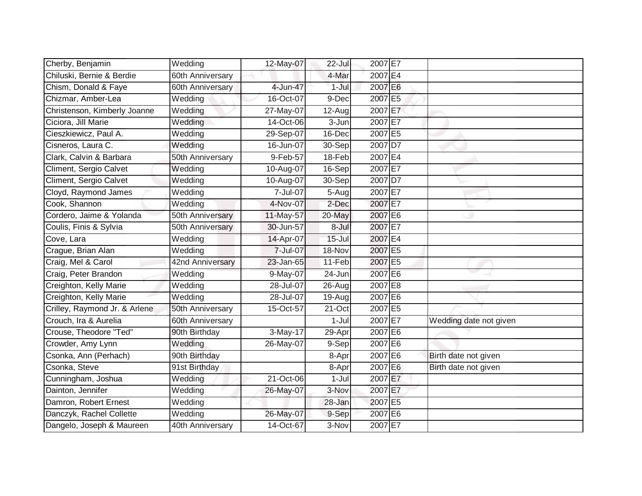| Cherby, Benjamin              | Wedding          | 12-May-07 | $22$ -Jul  | 2007 E7 |                        |
|-------------------------------|------------------|-----------|------------|---------|------------------------|
| Chiluski, Bernie & Berdie     | 60th Anniversary |           | 4-Mar      | 2007 E4 |                        |
| Chism, Donald & Faye          | 60th Anniversary | 4-Jun-47  | $1-Jul$    | 2007 E6 |                        |
| Chizmar, Amber-Lea            | Wedding          | 16-Oct-07 | 9-Dec      | 2007 E5 |                        |
| Christenson, Kimberly Joanne  | Wedding          | 27-May-07 | 12-Aug     | 2007 E7 |                        |
| Ciciora, Jill Marie           | Wedding          | 14-Oct-06 | 3-Jun      | 2007 E7 |                        |
| Cieszkiewicz, Paul A.         | Wedding          | 29-Sep-07 | 16-Dec     | 2007 E5 |                        |
| Cisneros, Laura C.            | Wedding          | 16-Jun-07 | 30-Sep     | 2007 D7 |                        |
| Clark, Calvin & Barbara       | 50th Anniversary | 9-Feb-57  | 18-Feb     | 2007 E4 |                        |
| Climent, Sergio Calvet        | Wedding          | 10-Aug-07 | 16-Sep     | 2007 E7 |                        |
| Climent, Sergio Calvet        | Wedding          | 10-Aug-07 | $30-Sep$   | 2007 D7 |                        |
| Cloyd, Raymond James          | Wedding          | 7-Jul-07  | 5-Augl     | 2007 E7 |                        |
| Cook, Shannon                 | Wedding          | 4-Nov-07  | 2-Dec      | 2007 E7 |                        |
| Cordero, Jaime & Yolanda      | 50th Anniversary | 11-May-57 | 20-May     | 2007 E6 |                        |
| Coulis, Finis & Sylvia        | 50th Anniversary | 30-Jun-57 | 8-Jul      | 2007 E7 |                        |
| Cove, Lara                    | Wedding          | 14-Apr-07 | $15 -$ Jul | 2007 E4 |                        |
| Crague, Brian Alan            | Wedding          | 7-Jul-07  | 18-Nov     | 2007 E5 |                        |
| Craig, Mel & Carol            | 42nd Anniversary | 23-Jan-65 | 11-Feb     | 2007 E5 |                        |
| Craig, Peter Brandon          | Wedding          | 9-May-07  | 24-Jun     | 2007 E6 |                        |
| Creighton, Kelly Marie        | Wedding          | 28-Jul-07 | 26-Aug     | 2007 E8 |                        |
| Creighton, Kelly Marie        | Wedding          | 28-Jul-07 | 19-Aug     | 2007 E6 |                        |
| Crilley, Raymond Jr. & Arlene | 50th Anniversary | 15-Oct-57 | 21-Oct     | 2007 E5 |                        |
| Crouch, Ira & Aurelia         | 60th Anniversary |           | $1-Jul$    | 2007 E7 | Wedding date not given |
| Crouse, Theodore "Ted"        | 90th Birthday    | 3-May-17  | 29-Apr     | 2007 E6 |                        |
| Crowder, Amy Lynn             | Wedding          | 26-May-07 | 9-Sep      | 2007 E6 |                        |
| Csonka, Ann (Perhach)         | 90th Birthday    |           | 8-Apr      | 2007 E6 | Birth date not given   |
| Csonka, Steve                 | 91st Birthday    |           | 8-Apr      | 2007 E6 | Birth date not given   |
| Cunningham, Joshua            | Wedding          | 21-Oct-06 | $1-Jul$    | 2007 E7 |                        |
| Dainton, Jennifer             | Wedding          | 26-May-07 | 3-Nov      | 2007 E7 |                        |
| Damron, Robert Ernest         | Wedding          |           | 28-Jan     | 2007 E5 |                        |
| Danczyk, Rachel Collette      | Wedding          | 26-May-07 | 9-Sep      | 2007 E6 |                        |
| Dangelo, Joseph & Maureen     | 40th Anniversary | 14-Oct-67 | 3-Nov      | 2007 E7 |                        |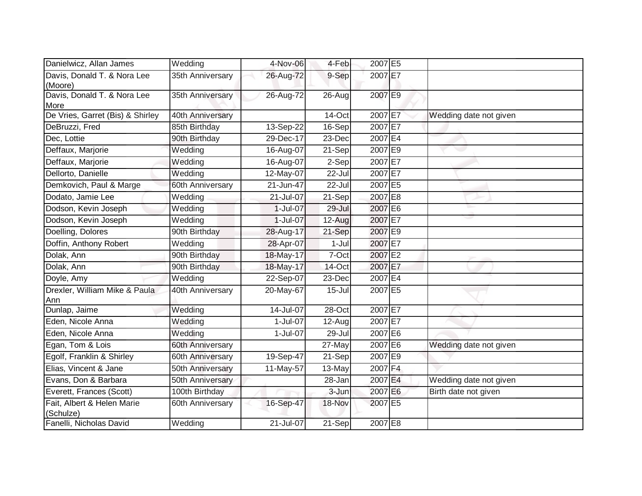| Danielwicz, Allan James                 | Wedding          | 4-Nov-06  | 4-Feb      | 2007 E5 |                        |
|-----------------------------------------|------------------|-----------|------------|---------|------------------------|
| Davis, Donald T. & Nora Lee<br>(Moore)  | 35th Anniversary | 26-Aug-72 | 9-Sep      | 2007 E7 |                        |
| Davis, Donald T. & Nora Lee<br>More     | 35th Anniversary | 26-Aug-72 | $26$ -Aug  | 2007 E9 |                        |
| De Vries, Garret (Bis) & Shirley        | 40th Anniversary |           | $14$ -Oct  | 2007 E7 | Wedding date not given |
| DeBruzzi, Fred                          | 85th Birthday    | 13-Sep-22 | $16-Sep$   | 2007 E7 |                        |
| Dec, Lottie                             | 90th Birthday    | 29-Dec-17 | $23$ -Dec  | 2007 E4 |                        |
| Deffaux, Marjorie                       | Wedding          | 16-Aug-07 | 21-Sep     | 2007 E9 | w                      |
| Deffaux, Marjorie                       | Wedding          | 16-Aug-07 | $2-Sep$    | 2007 E7 |                        |
| Dellorto, Danielle                      | Wedding          | 12-May-07 | $22 -$ Jul | 2007 E7 |                        |
| Demkovich, Paul & Marge                 | 60th Anniversary | 21-Jun-47 | $22 -$ Jul | 2007 E5 |                        |
| Dodato, Jamie Lee                       | Wedding          | 21-Jul-07 | $21-Sep$   | 2007 E8 |                        |
| Dodson, Kevin Joseph                    | Wedding          | 1-Jul-07  | 29-Jul     | 2007 E6 |                        |
| Dodson, Kevin Joseph                    | Wedding          | 1-Jul-07  | $12-Aug$   | 2007 E7 |                        |
| Doelling, Dolores                       | 90th Birthday    | 28-Aug-17 | $21-Sep$   | 2007 E9 |                        |
| Doffin, Anthony Robert                  | Wedding          | 28-Apr-07 | $1-Jul$    | 2007 E7 |                        |
| Dolak, Ann                              | 90th Birthday    | 18-May-17 | 7-Oct      | 2007 E2 |                        |
| Dolak, Ann                              | 90th Birthday    | 18-May-17 | 14-Oct     | 2007 E7 |                        |
| Doyle, Amy                              | Wedding          | 22-Sep-07 | 23-Dec     | 2007 E4 |                        |
| Drexler, William Mike & Paula<br>Ann    | 40th Anniversary | 20-May-67 | $15 -$ Jul | 2007 E5 |                        |
| Dunlap, Jaime                           | Wedding          | 14-Jul-07 | $28$ -Oct  | 2007 E7 |                        |
| Eden, Nicole Anna                       | Wedding          | 1-Jul-07  | $12$ -Aug  | 2007 E7 |                        |
| Eden, Nicole Anna                       | Wedding          | 1-Jul-07  | 29-Jul     | 2007 E6 |                        |
| Egan, Tom & Lois                        | 60th Anniversary |           | 27-May     | 2007 E6 | Wedding date not given |
| Egolf, Franklin & Shirley               | 60th Anniversary | 19-Sep-47 | $21-Sep$   | 2007 E9 |                        |
| Elias, Vincent & Jane                   | 50th Anniversary | 11-May-57 | 13-May     | 2007 F4 |                        |
| Evans, Don & Barbara                    | 50th Anniversary |           | 28-Jan     | 2007 E4 | Wedding date not given |
| Everett, Frances (Scott)                | 100th Birthday   |           | 3-Jun      | 2007 E6 | Birth date not given   |
| Fait, Albert & Helen Marie<br>(Schulze) | 60th Anniversary | 16-Sep-47 | 18-Nov     | 2007 E5 |                        |
| Fanelli, Nicholas David                 | Wedding          | 21-Jul-07 | 21-Sep     | 2007 E8 |                        |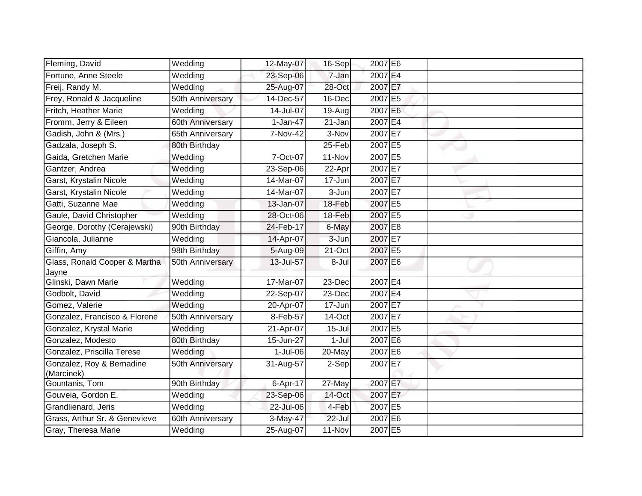| Fleming, David                          | Wedding          | 12-May-07  | 16-Sep     | 2007 E6 |  |
|-----------------------------------------|------------------|------------|------------|---------|--|
| Fortune, Anne Steele                    | Wedding          | 23-Sep-06  | 7-Jan      | 2007 E4 |  |
| Freij, Randy M.                         | Wedding          | 25-Aug-07  | 28-Oct     | 2007 E7 |  |
| Frey, Ronald & Jacqueline               | 50th Anniversary | 14-Dec-57  | 16-Dec     | 2007 E5 |  |
| Fritch, Heather Marie                   | Wedding          | 14-Jul-07  | $19-Aug$   | 2007 E6 |  |
| Fromm, Jerry & Eileen                   | 60th Anniversary | $1-Jan-47$ | 21-Jan     | 2007 E4 |  |
| Gadish, John & (Mrs.)                   | 65th Anniversary | 7-Nov-42   | 3-Nov      | 2007 E7 |  |
| Gadzala, Joseph S.                      | 80th Birthday    |            | 25-Feb     | 2007 E5 |  |
| Gaida, Gretchen Marie                   | Wedding          | 7-Oct-07   | 11-Nov     | 2007 E5 |  |
| Gantzer, Andrea                         | Wedding          | 23-Sep-06  | 22-Apr     | 2007 E7 |  |
| Garst, Krystalin Nicole                 | Wedding          | 14-Mar-07  | 17-Jun     | 2007 E7 |  |
| Garst, Krystalin Nicole                 | Wedding          | 14-Mar-07  | 3-Jun      | 2007 E7 |  |
| Gatti, Suzanne Mae                      | Wedding          | 13-Jan-07  | 18-Feb     | 2007 E5 |  |
| Gaule, David Christopher                | Wedding          | 28-Oct-06  | 18-Feb     | 2007 E5 |  |
| George, Dorothy (Cerajewski)            | 90th Birthday    | 24-Feb-17  | 6-May      | 2007 E8 |  |
| Giancola, Julianne                      | Wedding          | 14-Apr-07  | $3 - Jun$  | 2007 E7 |  |
| Giffin, Amy                             | 98th Birthday    | 5-Aug-09   | 21-Oct     | 2007 E5 |  |
| Glass, Ronald Cooper & Martha           | 50th Anniversary | 13-Jul-57  | 8-Jul      | 2007 E6 |  |
| Jayne                                   |                  |            |            |         |  |
| Glinski, Dawn Marie                     | Wedding          | 17-Mar-07  | 23-Dec     | 2007 E4 |  |
| Godbolt, David                          | Wedding          | 22-Sep-07  | $23$ -Dec  | 2007 E4 |  |
| Gomez, Valerie                          | Wedding          | 20-Apr-07  | 17-Jun     | 2007 E7 |  |
| Gonzalez, Francisco & Florene           | 50th Anniversary | 8-Feb-57   | 14-Oct     | 2007 E7 |  |
| Gonzalez, Krystal Marie                 | Wedding          | 21-Apr-07  | $15 -$ Jul | 2007 E5 |  |
| Gonzalez, Modesto                       | 80th Birthday    | 15-Jun-27  | $1-Jul$    | 2007 E6 |  |
| Gonzalez, Priscilla Terese              | Wedding          | 1-Jul-06   | 20-May     | 2007 E6 |  |
| Gonzalez, Roy & Bernadine<br>(Marcinek) | 50th Anniversary | 31-Aug-57  | 2-Sep      | 2007 E7 |  |
| Gountanis, Tom                          | 90th Birthday    | 6-Apr-17   | 27-May     | 2007 E7 |  |
| Gouveia, Gordon E.                      | Wedding          | 23-Sep-06  | 14-Oct     | 2007 E7 |  |
| Grandlienard, Jeris                     | Wedding          | 22-Jul-06  | 4-Feb      | 2007 E5 |  |
| Grass, Arthur Sr. & Genevieve           | 60th Anniversary | 3-May-47   | $22$ -Jul  | 2007 E6 |  |
| Gray, Theresa Marie                     | Wedding          | 25-Aug-07  | 11-Nov     | 2007 E5 |  |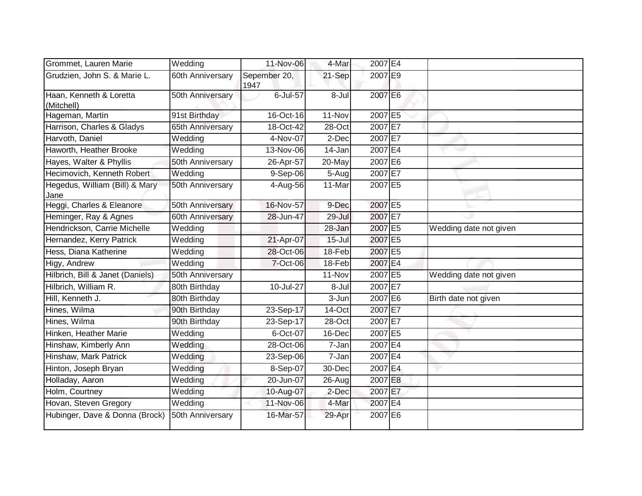| Grommet, Lauren Marie                  | Wedding          | 11-Nov-06            | 4-Mar      | 2007 E4 |                        |
|----------------------------------------|------------------|----------------------|------------|---------|------------------------|
| Grudzien, John S. & Marie L.           | 60th Anniversary | Sepember 20,<br>1947 | 21-Sep     | 2007 E9 |                        |
| Haan, Kenneth & Loretta                | 50th Anniversary | 6-Jul-57             | $8 -$ Jul  | 2007 E6 |                        |
| (Mitchell)                             |                  |                      |            |         |                        |
| Hageman, Martin                        | 91st Birthday    | 16-Oct-16            | 11-Nov     | 2007 E5 |                        |
| Harrison, Charles & Gladys             | 65th Anniversary | 18-Oct-42            | 28-Oct     | 2007 E7 |                        |
| Harvoth, Daniel                        | Wedding          | 4-Nov-07             | 2-Dec      | 2007 E7 |                        |
| Haworth, Heather Brooke                | Wedding          | 13-Nov-06            | 14-Jan     | 2007 E4 |                        |
| Hayes, Walter & Phyllis                | 50th Anniversary | 26-Apr-57            | 20-May     | 2007 E6 |                        |
| Hecimovich, Kenneth Robert             | Wedding          | 9-Sep-06             | 5-Aug      | 2007 E7 |                        |
| Hegedus, William (Bill) & Mary<br>Jane | 50th Anniversary | 4-Aug-56             | 11-Mar     | 2007 E5 |                        |
| Heggi, Charles & Eleanore              | 50th Anniversary | 16-Nov-57            | 9-Dec      | 2007 E5 |                        |
| Heminger, Ray & Agnes                  | 60th Anniversary | 28-Jun-47            | 29-Jul     | 2007 E7 |                        |
| Hendrickson, Carrie Michelle           | Wedding          |                      | 28-Jan     | 2007 E5 | Wedding date not given |
| Hernandez, Kerry Patrick               | Wedding          | 21-Apr-07            | $15 -$ Jul | 2007 E5 |                        |
| Hess, Diana Katherine                  | Wedding          | 28-Oct-06            | 18-Feb     | 2007 E5 |                        |
| Higy, Andrew                           | Wedding          | 7-Oct-06             | 18-Feb     | 2007 E4 |                        |
| Hilbrich, Bill & Janet (Daniels)       | 50th Anniversary |                      | 11-Nov     | 2007 E5 | Wedding date not given |
| Hilbrich, William R.                   | 80th Birthday    | 10-Jul-27            | $8 -$ Jul  | 2007 E7 |                        |
| Hill, Kenneth J.                       | 80th Birthday    |                      | 3-Jun      | 2007 E6 | Birth date not given   |
| Hines, Wilma                           | 90th Birthday    | 23-Sep-17            | 14-Oct     | 2007 E7 |                        |
| Hines, Wilma                           | 90th Birthday    | 23-Sep-17            | 28-Oct     | 2007 E7 |                        |
| Hinken, Heather Marie                  | Wedding          | 6-Oct-07             | 16-Dec     | 2007 E5 |                        |
| Hinshaw, Kimberly Ann                  | Wedding          | 28-Oct-06            | 7-Jan      | 2007 E4 |                        |
| Hinshaw, Mark Patrick                  | Wedding          | 23-Sep-06            | 7-Jan      | 2007 E4 |                        |
| Hinton, Joseph Bryan                   | Wedding          | 8-Sep-07             | 30-Dec     | 2007 E4 |                        |
| Holladay, Aaron                        | Wedding          | 20-Jun-07            | 26-Aug     | 2007 E8 |                        |
| Holm, Courtney                         | Wedding          | 10-Aug-07            | 2-Dec      | 2007 E7 |                        |
| Hovan, Steven Gregory                  | Wedding          | 11-Nov-06            | 4-Mar      | 2007 E4 |                        |
| Hubinger, Dave & Donna (Brock)         | 50th Anniversary | 16-Mar-57            | 29-Apr     | 2007 E6 |                        |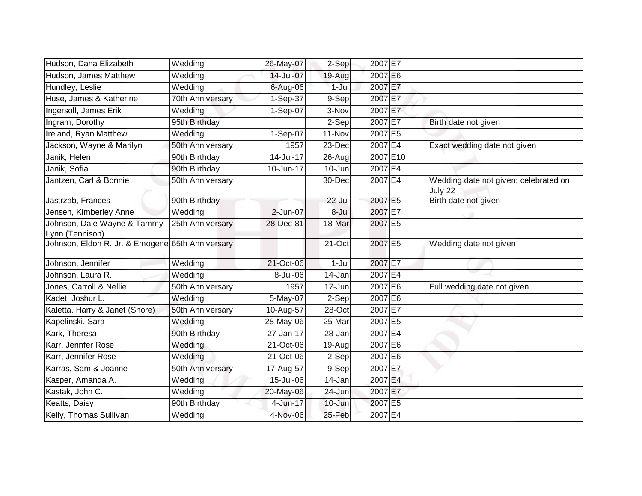| Hudson, Dana Elizabeth                           | Wedding          | 26-May-07   | 2-Sep   | 2007 E7               |                                                  |
|--------------------------------------------------|------------------|-------------|---------|-----------------------|--------------------------------------------------|
| Hudson, James Matthew                            | Wedding          | 14-Jul-07   | 19-Aug  | 2007 E6               |                                                  |
| Hundley, Leslie                                  | Wedding          | 6-Aug-06    | 1-Jul   | 2007 E7               |                                                  |
| Huse, James & Katherine                          | 70th Anniversary | 1-Sep-37    | 9-Sep   | 2007 E7               |                                                  |
| Ingersoll, James Erik                            | Wedding          | 1-Sep-07    | 3-Nov   | 2007 E7               |                                                  |
| Ingram, Dorothy                                  | 95th Birthday    |             | 2-Sep   | 2007 E7               | Birth date not given                             |
| Ireland, Ryan Matthew                            | Wedding          | 1-Sep-07    | 11-Nov  | 2007 E5               |                                                  |
| Jackson, Wayne & Marilyn                         | 50th Anniversary | 1957        | 23-Dec  | $2007$ E <sup>4</sup> | Exact wedding date not given                     |
| Janik, Helen                                     | 90th Birthday    | 14-Jul-17   | 26-Aug  | 2007 E10              |                                                  |
| Janik, Sofia                                     | 90th Birthday    | 10-Jun-17   | 10-Jun  | 2007 E4               |                                                  |
| Jantzen, Carl & Bonnie                           | 50th Anniversary |             | 30-Dec  | 2007 E4               | Wedding date not given; celebrated on<br>July 22 |
| Jastrzab, Frances                                | 90th Birthday    |             | 22-Jul  | 2007 E5               | Birth date not given                             |
| Jensen, Kimberley Anne                           | Wedding          | 2-Jun-07    | 8-Jul   | 2007 E7               |                                                  |
| Johnson, Dale Wayne & Tammy<br>Lynn (Tennison)   | 25th Anniversary | 28-Dec-81   | 18-Mar  | 2007 E5               |                                                  |
| Johnson, Eldon R. Jr. & Emogene 65th Anniversary |                  |             | 21-Oct  | 2007 E5               | Wedding date not given                           |
| Johnson, Jennifer                                | Wedding          | 21-Oct-06   | $1-Jul$ | 2007 E7               |                                                  |
| Johnson, Laura R.                                | Wedding          | 8-Jul-06    | 14-Jan  | 2007 E4               |                                                  |
| Jones, Carroll & Nellie                          | 50th Anniversary | 1957        | 17-Jun  | 2007 E6               | Full wedding date not given                      |
| Kadet, Joshur L.                                 | Wedding          | 5-May-07    | 2-Sep   | 2007 E6               |                                                  |
| Kaletta, Harry & Janet (Shore)                   | 50th Anniversary | 10-Aug-57   | 28-Oct  | 2007 E7               |                                                  |
| Kapelinski, Sara                                 | Wedding          | 28-May-06   | 25-Mar  | 2007 E5               |                                                  |
| Kark, Theresa                                    | 90th Birthday    | 27-Jan-17   | 28-Jan  | 2007 E4               |                                                  |
| Karr, Jennfer Rose                               | Wedding          | $21-Oct-06$ | 19-Aug  | 2007 E6               |                                                  |
| Karr, Jennifer Rose                              | Wedding          | 21-Oct-06   | 2-Sep   | 2007 E6               |                                                  |
| Karras, Sam & Joanne                             | 50th Anniversary | 17-Aug-57   | 9-Sep   | 2007 E7               |                                                  |
| Kasper, Amanda A.                                | Wedding          | 15-Jul-06   | 14-Jan  | 2007 E4               |                                                  |
| Kastak, John C.                                  | Wedding          | 20-May-06   | 24-Jun  | 2007 E7               |                                                  |
| Keatts, Daisy                                    | 90th Birthday    | 4-Jun-17    | 10-Jun  | 2007 E5               |                                                  |
| Kelly, Thomas Sullivan                           | Wedding          | 4-Nov-06    | 25-Feb  | 2007 E4               |                                                  |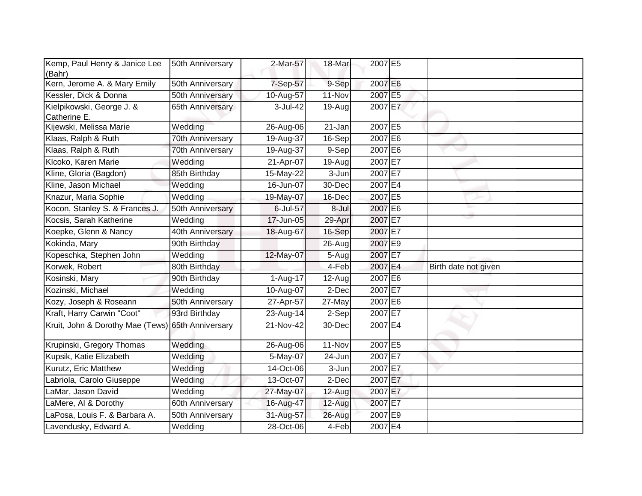| Kemp, Paul Henry & Janice Lee<br>(Bahr)   | 50th Anniversary | 2-Mar-57     | 18-Mar     | 2007 E5 |                      |
|-------------------------------------------|------------------|--------------|------------|---------|----------------------|
| Kern, Jerome A. & Mary Emily              | 50th Anniversary | 7-Sep-57     | 9-Sep      | 2007 E6 |                      |
| Kessler, Dick & Donna                     | 50th Anniversary | 10-Aug-57    | $11-Nov$   | 2007 E5 |                      |
| Kielpikowski, George J. &<br>Catherine E. | 65th Anniversary | $3 -$ Jul-42 | 19-Aug     | 2007 E7 |                      |
| Kijewski, Melissa Marie                   | Wedding          | 26-Aug-06    | $21 - Jan$ | 2007 E5 |                      |
| Klaas, Ralph & Ruth                       | 70th Anniversary | 19-Aug-37    | $16-Sep$   | 2007 E6 |                      |
| Klaas, Ralph & Ruth                       | 70th Anniversary | 19-Aug-37    | 9-Sep      | 2007 E6 |                      |
| Klcoko, Karen Marie                       | Wedding          | 21-Apr-07    | $19-Aug$   | 2007 E7 |                      |
| Kline, Gloria (Bagdon)                    | 85th Birthday    | 15-May-22    | 3-Jun      | 2007 E7 |                      |
| Kline, Jason Michael                      | Wedding          | 16-Jun-07    | 30-Dec     | 2007 E4 |                      |
| Knazur, Maria Sophie                      | Wedding          | 19-May-07    | 16-Dec     | 2007 E5 |                      |
| Kocon, Stanley S. & Frances J.            | 50th Anniversary | 6-Jul-57     | 8-Jul      | 2007 E6 |                      |
| Kocsis, Sarah Katherine                   | Wedding          | 17-Jun-05    | 29-Apr     | 2007 E7 |                      |
| Koepke, Glenn & Nancy                     | 40th Anniversary | 18-Aug-67    | 16-Sep     | 2007 E7 |                      |
| Kokinda, Mary                             | 90th Birthday    |              | 26-Aug     | 2007 E9 |                      |
| Kopeschka, Stephen John                   | Wedding          | 12-May-07    | 5-Aug      | 2007 E7 |                      |
| Korwek, Robert                            | 80th Birthday    |              | 4-Feb      | 2007 E4 | Birth date not given |
| Kosinski, Mary                            | 90th Birthday    | 1-Aug-17     | 12-Aug     | 2007 E6 |                      |
| Kozinski, Michael                         | Wedding          | 10-Aug-07    | 2-Dec      | 2007 E7 |                      |
| Kozy, Joseph & Roseann                    | 50th Anniversary | 27-Apr-57    | 27-May     | 2007 E6 |                      |
| Kraft, Harry Carwin "Coot"                | 93rd Birthday    | 23-Aug-14    | 2-Sep      | 2007 E7 |                      |
| Kruit, John & Dorothy Mae (Tews)          | 65th Anniversary | 21-Nov-42    | 30-Dec     | 2007 E4 |                      |
| Krupinski, Gregory Thomas                 | Wedding          | 26-Aug-06    | 11-Nov     | 2007 E5 |                      |
| Kupsik, Katie Elizabeth                   | Wedding          | 5-May-07     | 24-Jun     | 2007 E7 |                      |
| Kurutz, Eric Matthew                      | Wedding          | 14-Oct-06    | 3-Jun      | 2007 E7 |                      |
| Labriola, Carolo Giuseppe                 | Wedding          | 13-Oct-07    | 2-Dec      | 2007 E7 |                      |
| LaMar, Jason David                        | Wedding          | 27-May-07    | 12-Aug     | 2007 E7 |                      |
| LaMere, AI & Dorothy                      | 60th Anniversary | 16-Aug-47    | 12-Aug     | 2007 E7 |                      |
| LaPosa, Louis F. & Barbara A.             | 50th Anniversary | 31-Aug-57    | 26-Aug     | 2007 E9 |                      |
| Lavendusky, Edward A.                     | Wedding          | 28-Oct-06    | 4-Feb      | 2007 E4 |                      |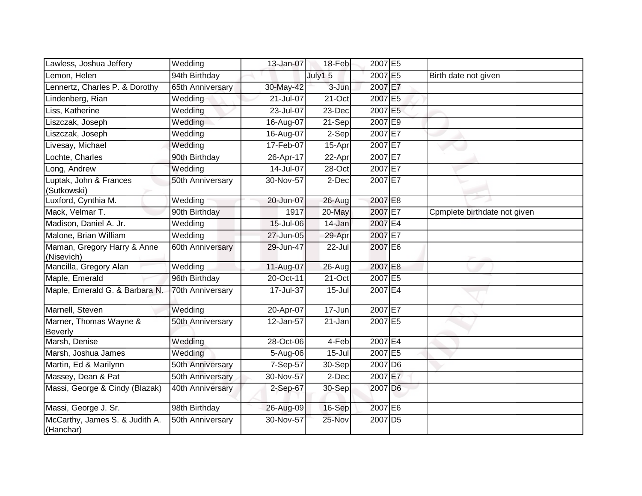| Lawless, Joshua Jeffery                     | Wedding          | 13-Jan-07  | 18-Feb             | 2007 E5             |                              |
|---------------------------------------------|------------------|------------|--------------------|---------------------|------------------------------|
| Lemon, Helen                                | 94th Birthday    |            | July1 <sub>5</sub> | 2007 E5             | Birth date not given         |
| Lennertz, Charles P. & Dorothy              | 65th Anniversary | 30-May-42  | 3-Jun              | 2007 E7             |                              |
| Lindenberg, Rian                            | Wedding          | 21-Jul-07  | 21-Oct             | 2007 E5             |                              |
| Liss, Katherine                             | Wedding          | 23-Jul-07  | 23-Dec             | 2007 E5             |                              |
| Liszczak, Joseph                            | Wedding          | 16-Aug-07  | 21-Sep             | 2007 E9             |                              |
| Liszczak, Joseph                            | Wedding          | 16-Aug-07  | 2-Sep              | 2007 E7             |                              |
| Livesay, Michael                            | Wedding          | 17-Feb-07  | 15-Apr             | 2007 E7             |                              |
| Lochte, Charles                             | 90th Birthday    | 26-Apr-17  | 22-Apr             | 2007 E7             |                              |
| Long, Andrew                                | Wedding          | 14-Jul-07  | 28-Oct             | 2007 E7             |                              |
| Luptak, John & Frances<br>(Sutkowski)       | 50th Anniversary | 30-Nov-57  | 2-Dec              | 2007 E7             |                              |
| Luxford, Cynthia M.                         | Wedding          | 20-Jun-07  | 26-Aug             | 2007 E8             |                              |
| Mack, Velmar T.                             | 90th Birthday    | 1917       | $20$ -May          | 2007 E7             | Cpmplete birthdate not given |
| Madison, Daniel A. Jr.                      | Wedding          | 15-Jul-06  | 14-Jan             | 2007 E4             |                              |
| Malone, Brian William                       | Wedding          | 27-Jun-05  | 29-Apr             | 2007 E7             |                              |
| Maman, Gregory Harry & Anne<br>(Nisevich)   | 60th Anniversary | 29-Jun-47  | 22-Jul             | 2007 E6             |                              |
| Mancilla, Gregory Alan                      | Wedding          | 11-Aug-07  | 26-Aug             | 2007 E8             |                              |
| Maple, Emerald                              | 96th Birthday    | 20-Oct-11  | $21-Oct$           | 2007 E5             |                              |
| Maple, Emerald G. & Barbara N.              | 70th Anniversary | 17-Jul-37  | $15 -$ Jul         | 2007 E4             |                              |
| Marnell, Steven                             | Wedding          | 20-Apr-07  | 17-Jun             | 2007 E7             |                              |
| Marner, Thomas Wayne &<br>Beverly           | 50th Anniversary | 12-Jan-57  | 21-Jan             | 2007 E5             |                              |
| Marsh, Denise                               | Wedding          | 28-Oct-06  | 4-Feb              | 2007 E4             |                              |
| Marsh, Joshua James                         | Wedding          | 5-Aug-06   | $15 -$ Jul         | 2007 E5             |                              |
| Martin, Ed & Marilynn                       | 50th Anniversary | $7-Sep-57$ | 30-Sep             | 2007 D <sub>6</sub> |                              |
| Massey, Dean & Pat                          | 50th Anniversary | 30-Nov-57  | 2-Dec              | 2007 E7             |                              |
| Massi, George & Cindy (Blazak)              | 40th Anniversary | 2-Sep-67   | 30-Sep             | 2007 D <sub>6</sub> |                              |
| Massi, George J. Sr.                        | 98th Birthday    | 26-Aug-09  | 16-Sep             | 2007 E6             |                              |
| McCarthy, James S. & Judith A.<br>(Hanchar) | 50th Anniversary | 30-Nov-57  | 25-Nov             | 2007 D <sub>5</sub> |                              |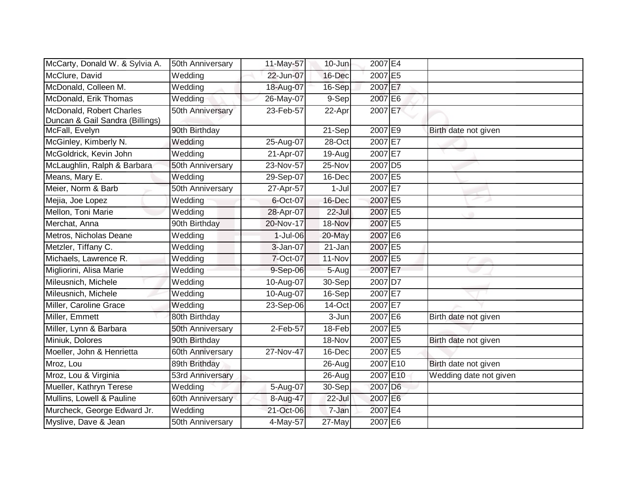| McCarty, Donald W. & Sylvia A.                              | 50th Anniversary | 11-May-57   | 10-Jun    | 2007 E4             |                        |
|-------------------------------------------------------------|------------------|-------------|-----------|---------------------|------------------------|
| McClure, David                                              | Wedding          | 22-Jun-07   | 16-Dec    | 2007 E5             |                        |
| McDonald, Colleen M.                                        | Wedding          | 18-Aug-07   | 16-Sep    | 2007 E7             |                        |
| McDonald, Erik Thomas                                       | Wedding          | 26-May-07   | 9-Sep     | 2007 E6             |                        |
| McDonald, Robert Charles<br>Duncan & Gail Sandra (Billings) | 50th Anniversary | 23-Feb-57   | 22-Apr    | 2007 E7             |                        |
| McFall, Evelyn                                              | 90th Birthday    |             | 21-Sep    | 2007 E9             | Birth date not given   |
| McGinley, Kimberly N.                                       | Wedding          | 25-Aug-07   | 28-Oct    | 2007 E7             |                        |
| McGoldrick, Kevin John                                      | Wedding          | 21-Apr-07   | $19-Aug$  | 2007 E7             |                        |
| McLaughlin, Ralph & Barbara                                 | 50th Anniversary | $23-Nov-57$ | 25-Nov    | 2007 D <sub>5</sub> |                        |
| Means, Mary E.                                              | Wedding          | 29-Sep-07   | 16-Dec    | 2007 E5             |                        |
| Meier, Norm & Barb                                          | 50th Anniversary | 27-Apr-57   | $1-Jul$   | 2007 E7             |                        |
| Mejia, Joe Lopez                                            | Wedding          | 6-Oct-07    | 16-Dec    | 2007 E5             |                        |
| Mellon, Toni Marie                                          | Wedding          | 28-Apr-07   | $22$ -Jul | 2007 E5             |                        |
| Merchat, Anna                                               | 90th Birthday    | 20-Nov-17   | 18-Nov    | 2007 E5             |                        |
| Metros, Nicholas Deane                                      | Wedding          | 1-Jul-06    | 20-May    | 2007 E6             |                        |
| Metzler, Tiffany C.                                         | Wedding          | 3-Jan-07    | 21-Jan    | 2007 E5             |                        |
| Michaels, Lawrence R.                                       | Wedding          | 7-Oct-07    | 11-Nov    | 2007 E5             |                        |
| Migliorini, Alisa Marie                                     | Wedding          | 9-Sep-06    | 5-Aug     | 2007 E7             |                        |
| Mileusnich, Michele                                         | Wedding          | 10-Aug-07   | 30-Sep    | 2007 D7             |                        |
| Mileusnich, Michele                                         | Wedding          | 10-Aug-07   | $16-Sep$  | 2007 E7             |                        |
| Miller, Caroline Grace                                      | Wedding          | 23-Sep-06   | 14-Oct    | 2007 E7             |                        |
| Miller, Emmett                                              | 80th Birthday    |             | 3-Jun     | 2007 E6             | Birth date not given   |
| Miller, Lynn & Barbara                                      | 50th Anniversary | 2-Feb-57    | 18-Feb    | 2007 E5             |                        |
| Miniuk, Dolores                                             | 90th Birthday    |             | 18-Nov    | 2007 E5             | Birth date not given   |
| Moeller, John & Henrietta                                   | 60th Anniversary | 27-Nov-47   | 16-Dec    | 2007 E5             |                        |
| Mroz, Lou                                                   | 89th Brithday    |             | 26-Aug    | 2007 E10            | Birth date not given   |
| Mroz, Lou & Virginia                                        | 53rd Anniversary |             | 26-Aug    | 2007 E10            | Wedding date not given |
| Mueller, Kathryn Terese                                     | Wedding          | 5-Aug-07    | 30-Sep    | 2007 D6             |                        |
| Mullins, Lowell & Pauline                                   | 60th Anniversary | 8-Aug-47    | 22-Jul    | 2007 E6             |                        |
| Murcheck, George Edward Jr.                                 | Wedding          | 21-Oct-06   | 7-Jan     | 2007 E4             |                        |
| Myslive, Dave & Jean                                        | 50th Anniversary | 4-May-57    | 27-May    | 2007 E6             |                        |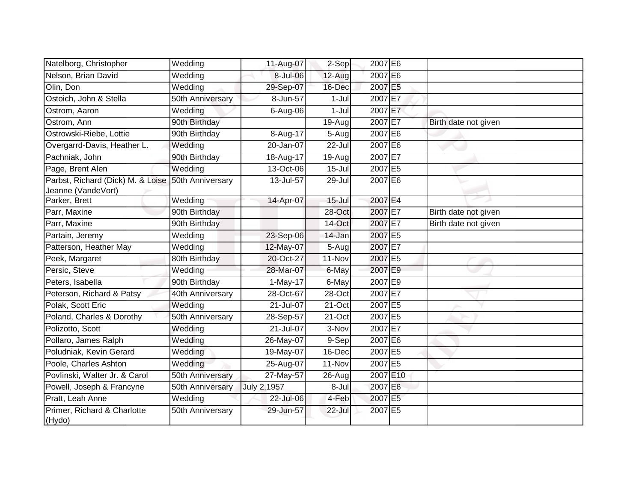| Natelborg, Christopher                                  | Wedding          | 11-Aug-07              | 2-Sep      | 2007 E6  |                      |
|---------------------------------------------------------|------------------|------------------------|------------|----------|----------------------|
| Nelson, Brian David                                     | Wedding          | 8-Jul-06               | 12-Aug     | 2007 E6  |                      |
| Olin, Don                                               | Wedding          | 29-Sep-07              | 16-Dec     | 2007 E5  |                      |
| Ostoich, John & Stella                                  | 50th Anniversary | 8-Jun-57               | $1-Jul$    | 2007 E7  |                      |
| Ostrom, Aaron                                           | Wedding          | 6-Aug-06               | $1-Jul$    | 2007 E7  |                      |
| Ostrom, Ann                                             | 90th Birthday    |                        | 19-Aug     | 2007 E7  | Birth date not given |
| Ostrowski-Riebe, Lottie                                 | 90th Birthday    | 8-Aug-17               | 5-Aug      | 2007 E6  |                      |
| Overgarrd-Davis, Heather L.                             | Wedding          | 20-Jan-07              | 22-Jul     | 2007 E6  |                      |
| Pachniak, John                                          | 90th Birthday    | 18-Aug-17              | 19-Aug     | 2007 E7  |                      |
| Page, Brent Alen                                        | Wedding          | 13-Oct-06              | $15 -$ Jul | 2007 E5  |                      |
| Parbst, Richard (Dick) M. & Loise<br>Jeanne (VandeVort) | 50th Anniversary | 13-Jul-57              | 29-Jul     | 2007 E6  |                      |
| Parker, Brett                                           | Wedding          | 14-Apr-07              | $15 -$ Jul | 2007 E4  |                      |
| Parr, Maxine                                            | 90th Birthday    |                        | $28 - Oct$ | 2007 E7  | Birth date not given |
| Parr, Maxine                                            | 90th Birthday    |                        | 14-Oct     | 2007 E7  | Birth date not given |
| Partain, Jeremy                                         | Wedding          | 23-Sep-06              | 14-Jan     | 2007 E5  |                      |
| Patterson, Heather May                                  | Wedding          | 12-May-07              | 5-Aug      | 2007 E7  |                      |
| Peek, Margaret                                          | 80th Birthday    | 20-Oct-27              | 11-Nov     | 2007 E5  |                      |
| Persic, Steve                                           | Wedding          | 28-Mar-07              | 6-May      | 2007 E9  |                      |
| Peters, Isabella                                        | 90th Birthday    | $\overline{1}$ -May-17 | 6-May      | 2007 E9  |                      |
| Peterson, Richard & Patsy                               | 40th Anniversary | 28-Oct-67              | $28-Oct$   | 2007 E7  |                      |
| Polak, Scott Eric                                       | Wedding          | 21-Jul-07              | 21-Oct     | 2007 E5  |                      |
| Poland, Charles & Dorothy                               | 50th Anniversary | 28-Sep-57              | 21-Oct     | 2007 E5  |                      |
| Polizotto, Scott                                        | Wedding          | 21-Jul-07              | 3-Nov      | 2007 E7  |                      |
| Pollaro, James Ralph                                    | Wedding          | 26-May-07              | 9-Sep      | 2007 E6  |                      |
| Poludniak, Kevin Gerard                                 | Wedding          | 19-May-07              | 16-Dec     | 2007 E5  |                      |
| Poole, Charles Ashton                                   | Wedding          | 25-Aug-07              | 11-Nov     | 2007 E5  |                      |
| Povlinski, Walter Jr. & Carol                           | 50th Anniversary | 27-May-57              | 26-Aug     | 2007 E10 |                      |
| Powell, Joseph & Francyne                               | 50th Anniversary | July 2,1957            | 8-Jul      | 2007 E6  |                      |
| Pratt, Leah Anne                                        | Wedding          | 22-Jul-06              | 4-Feb      | 2007 E5  |                      |
| Primer, Richard & Charlotte<br>(Hydo)                   | 50th Anniversary | 29-Jun-57              | 22-Jul     | 2007 E5  |                      |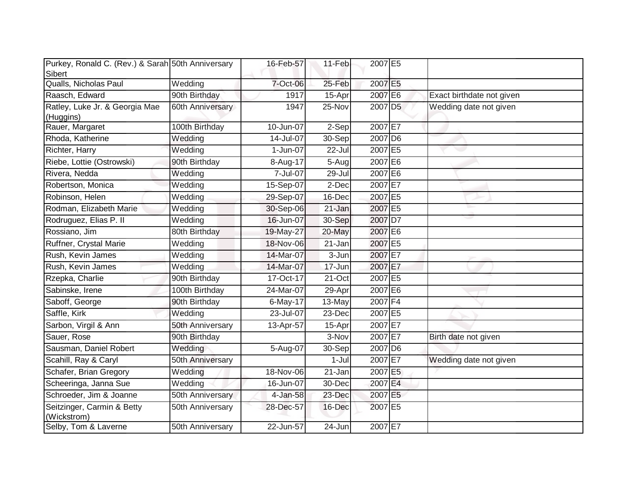| Purkey, Ronald C. (Rev.) & Sarah 50th Anniversary |                  | 16-Feb-57    | 11-Feb    | 2007 E5             |                           |
|---------------------------------------------------|------------------|--------------|-----------|---------------------|---------------------------|
| Sibert<br>Qualls, Nicholas Paul                   | Wedding          | 7-Oct-06     | 25-Feb    | 2007 E5             |                           |
| Raasch, Edward                                    | 90th Birthday    | 1917         | $15$ -Apr | 2007 E6             | Exact birthdate not given |
| Ratley, Luke Jr. & Georgia Mae<br>(Huggins)       | 60th Anniversary | 1947         | 25-Nov    | 2007 D <sub>5</sub> | Wedding date not given    |
| Rauer, Margaret                                   | 100th Birthday   | $10$ -Jun-07 | $2-Sep$   | 2007 E7             |                           |
| Rhoda, Katherine                                  | Wedding          | 14-Jul-07    | $30-Sep$  | 2007 D6             |                           |
| Richter, Harry                                    | Wedding          | 1-Jun-07     | 22-Jul    | 2007 E5             |                           |
| Riebe, Lottie (Ostrowski)                         | 90th Birthday    | 8-Aug-17     | $5-Aug$   | 2007 E6             |                           |
| Rivera, Nedda                                     | Wedding          | 7-Jul-07     | 29-Jul    | 2007 E6             |                           |
| Robertson, Monica                                 | Wedding          | 15-Sep-07    | 2-Dec     | 2007 E7             |                           |
| Robinson, Helen                                   | Wedding          | 29-Sep-07    | 16-Dec    | 2007 E5             |                           |
| Rodman, Elizabeth Marie                           | Wedding          | 30-Sep-06    | 21-Jan    | 2007 E5             |                           |
| Rodruguez, Elias P. II                            | Wedding          | 16-Jun-07    | 30-Sep    | 2007 D7             |                           |
| Rossiano, Jim                                     | 80th Birthday    | 19-May-27    | 20-May    | 2007 E6             |                           |
| Ruffner, Crystal Marie                            | Wedding          | 18-Nov-06    | 21-Jan    | 2007 E5             |                           |
| Rush, Kevin James                                 | Wedding          | 14-Mar-07    | 3-Jun     | 2007 E7             |                           |
| Rush, Kevin James                                 | Wedding          | 14-Mar-07    | 17-Jun    | 2007 E7             |                           |
| Rzepka, Charlie                                   | 90th Birthday    | 17-Oct-17    | 21-Oct    | 2007 E5             |                           |
| Sabinske, Irene                                   | 100th Birthday   | 24-Mar-07    | 29-Apr    | 2007 E6             |                           |
| Saboff, George                                    | 90th Birthday    | 6-May-17     | 13-May    | 2007 F4             |                           |
| Saffle, Kirk                                      | Wedding          | 23-Jul-07    | 23-Dec    | 2007 E5             |                           |
| Sarbon, Virgil & Ann                              | 50th Anniversary | 13-Apr-57    | 15-Apr    | 2007 E7             |                           |
| Sauer, Rose                                       | 90th Birthday    |              | 3-Nov     | 2007 E7             | Birth date not given      |
| Sausman, Daniel Robert                            | <b>Wedding</b>   | 5-Aug-07     | 30-Sep    | 2007 D <sub>6</sub> |                           |
| Scahill, Ray & Caryl                              | 50th Anniversary |              | $1-Jul$   | 2007 E7             | Wedding date not given    |
| Schafer, Brian Gregory                            | Wedding          | 18-Nov-06    | 21-Jan    | 2007 E5             |                           |
| Scheeringa, Janna Sue                             | Wedding          | 16-Jun-07    | 30-Dec    | 2007 E4             |                           |
| Schroeder, Jim & Joanne                           | 50th Anniversary | 4-Jan-58     | 23-Dec    | 2007 E5             |                           |
| Seitzinger, Carmin & Betty<br>(Wickstrom)         | 50th Anniversary | 28-Dec-57    | 16-Dec    | 2007 E5             |                           |
| Selby, Tom & Laverne                              | 50th Anniversary | 22-Jun-57    | 24-Jun    | 2007 E7             |                           |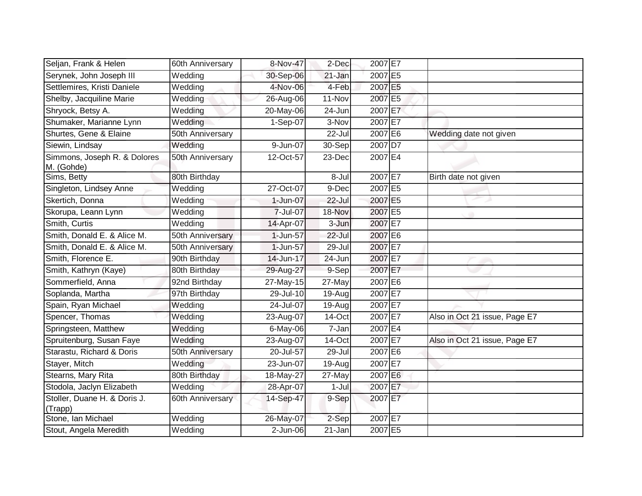| Seljan, Frank & Helen                      | 60th Anniversary | 8-Nov-47    | 2-Dec      | 2007 E7 |                               |
|--------------------------------------------|------------------|-------------|------------|---------|-------------------------------|
| Serynek, John Joseph III                   | Wedding          | 30-Sep-06   | 21-Jan     | 2007 E5 |                               |
| Settlemires, Kristi Daniele                | Wedding          | 4-Nov-06    | 4-Feb      | 2007 E5 |                               |
| Shelby, Jacquiline Marie                   | Wedding          | 26-Aug-06   | 11-Nov     | 2007 E5 |                               |
| Shryock, Betsy A.                          | Wedding          | 20-May-06   | 24-Jun     | 2007 E7 |                               |
| Shumaker, Marianne Lynn                    | Wedding          | 1-Sep-07    | 3-Nov      | 2007 E7 |                               |
| Shurtes, Gene & Elaine                     | 50th Anniversary |             | 22-Jul     | 2007 E6 | Wedding date not given        |
| Siewin, Lindsay                            | Wedding          | 9-Jun-07    | 30-Sep     | 2007 D7 |                               |
| Simmons, Joseph R. & Dolores<br>M. (Gohde) | 50th Anniversary | 12-Oct-57   | 23-Dec     | 2007 E4 |                               |
| Sims, Betty                                | 80th Birthday    |             | 8-Jul      | 2007 E7 | Birth date not given          |
| Singleton, Lindsey Anne                    | Wedding          | 27-Oct-07   | 9-Dec      | 2007 E5 |                               |
| Skertich, Donna                            | Wedding          | 1-Jun-07    | 22-Jul     | 2007 E5 |                               |
| Skorupa, Leann Lynn                        | Wedding          | 7-Jul-07    | 18-Nov     | 2007 E5 |                               |
| Smith, Curtis                              | Wedding          | 14-Apr-07   | 3-Jun      | 2007 E7 |                               |
| Smith, Donald E. & Alice M.                | 50th Anniversary | 1-Jun-57    | 22-Jul     | 2007 E6 |                               |
| Smith, Donald E. & Alice M.                | 50th Anniversary | 1-Jun-57    | 29-Jul     | 2007 E7 |                               |
| Smith, Florence E.                         | 90th Birthday    | 14-Jun-17   | 24-Jun     | 2007 E7 |                               |
| Smith, Kathryn (Kaye)                      | 80th Birthday    | 29-Aug-27   | 9-Sep      | 2007 E7 |                               |
| Sommerfield, Anna                          | 92nd Birthday    | 27-May-15   | 27-May     | 2007 E6 |                               |
| Soplanda, Martha                           | 97th Birthday    | 29-Jul-10   | 19-Aug     | 2007 E7 |                               |
| Spain, Ryan Michael                        | Wedding          | 24-Jul-07   | 19-Aug     | 2007 E7 |                               |
| Spencer, Thomas                            | Wedding          | 23-Aug-07   | 14-Oct     | 2007 E7 | Also in Oct 21 issue, Page E7 |
| Springsteen, Matthew                       | Wedding          | 6-May-06    | 7-Jan      | 2007 E4 |                               |
| Spruitenburg, Susan Faye                   | Wedding          | 23-Aug-07   | 14-Oct     | 2007 E7 | Also in Oct 21 issue, Page E7 |
| Starastu, Richard & Doris                  | 50th Anniversary | 20-Jul-57   | $29 -$ Jul | 2007 E6 |                               |
| Stayer, Mitch                              | Wedding          | 23-Jun-07   | 19-Aug     | 2007 E7 |                               |
| Stearns, Mary Rita                         | 80th Birthday    | 18-May-27   | 27-May     | 2007 E6 |                               |
| Stodola, Jaclyn Elizabeth                  | Wedding          | 28-Apr-07   | $1-Jul$    | 2007 E7 |                               |
| Stoller, Duane H. & Doris J.<br>(Trapp)    | 60th Anniversary | 14-Sep-47   | 9-Sep      | 2007 E7 |                               |
| Stone, Ian Michael                         | Wedding          | 26-May-07   | 2-Sep      | 2007 E7 |                               |
| Stout, Angela Meredith                     | Wedding          | $2$ -Jun-06 | 21-Jan     | 2007 E5 |                               |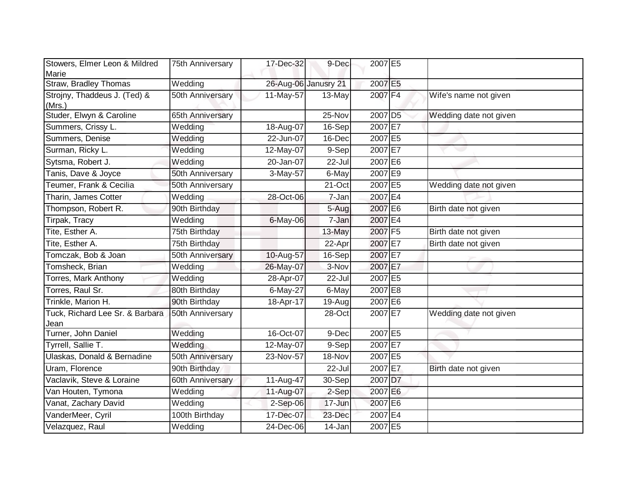| Stowers, Elmer Leon & Mildred<br>Marie  | 75th Anniversary | 17-Dec-32    | 9-Dec                | 2007 E5             |                        |
|-----------------------------------------|------------------|--------------|----------------------|---------------------|------------------------|
| Straw, Bradley Thomas                   | Wedding          |              | 26-Aug-06 Janusry 21 | 2007 E5             |                        |
| Strojny, Thaddeus J. (Ted) &<br>(Mrs.)  | 50th Anniversary | 11-May-57    | 13-May               | 2007 F4             | Wife's name not given  |
| Studer, Elwyn & Caroline                | 65th Anniversary |              | 25-Nov               | 2007 D <sub>5</sub> | Wedding date not given |
| Summers, Crissy L.                      | Wedding          | 18-Aug-07    | 16-Sep               | 2007 E7             |                        |
| Summers, Denise                         | Wedding          | 22-Jun-07    | 16-Dec               | 2007 E5             |                        |
| Surman, Ricky L.                        | Wedding          | 12-May-07    | 9-Sep                | 2007 E7             |                        |
| Sytsma, Robert J.                       | Wedding          | 20-Jan-07    | $22 -$ Jul           | 2007 E6             |                        |
| Tanis, Dave & Joyce                     | 50th Anniversary | 3-May-57     | 6-May                | 2007 E9             |                        |
| Teumer, Frank & Cecilia                 | 50th Anniversary |              | 21-Oct               | 2007 E5             | Wedding date not given |
| Tharin, James Cotter                    | Wedding          | 28-Oct-06    | 7-Jan                | 2007 E4             |                        |
| Thompson, Robert R.                     | 90th Birthday    |              | 5-Aug                | 2007 E6             | Birth date not given   |
| Tirpak, Tracy                           | Wedding          | $6$ -May-06  | 7-Jan                | 2007 E4             |                        |
| Tite, Esther A.                         | 75th Birthday    |              | 13-May               | 2007 F5             | Birth date not given   |
| Tite, Esther A.                         | 75th Birthday    |              | 22-Apr               | 2007 E7             | Birth date not given   |
| Tomczak, Bob & Joan                     | 50th Anniversary | 10-Aug-57    | 16-Sep               | 2007 E7             |                        |
| Tomsheck, Brian                         | Wedding          | 26-May-07    | 3-Nov                | 2007 E7             |                        |
| <b>Torres, Mark Anthony</b>             | Wedding          | 28-Apr-07    | $22$ -Jul            | 2007 E5             |                        |
| Torres, Raul Sr.                        | 80th Birthday    | 6-May-27     | 6-May                | 2007 E8             |                        |
| Trinkle, Marion H.                      | 90th Birthday    | 18-Apr-17    | 19-Aug               | 2007 E6             |                        |
| Tuck, Richard Lee Sr. & Barbara<br>Jean | 50th Anniversary |              | 28-Oct               | 2007 E7             | Wedding date not given |
| Turner, John Daniel                     | Wedding          | 16-Oct-07    | 9-Dec                | 2007 E5             |                        |
| Tyrrell, Sallie T.                      | Wedding          | 12-May-07    | 9-Sep                | 2007 E7             |                        |
| Ulaskas, Donald & Bernadine             | 50th Anniversary | 23-Nov-57    | 18-Nov               | 2007 E5             |                        |
| Uram, Florence                          | 90th Birthday    |              | 22-Jul               | 2007 E7             | Birth date not given   |
| Vaclavik, Steve & Loraine               | 60th Anniversary | 11-Aug-47    | 30-Sep               | 2007 D7             |                        |
| Van Houten, Tymona                      | Wedding          | 11-Aug-07    | 2-Sep                | 2007 E6             |                        |
| Vanat, Zachary David                    | Wedding          | 2-Sep-06     | 17-Jun               | 2007 E6             |                        |
| VanderMeer, Cyril                       | 100th Birthday   | 17-Dec-07    | 23-Dec               | 2007 E4             |                        |
| Velazquez, Raul                         | Wedding          | $24$ -Dec-06 | 14-Jan               | 2007 E5             |                        |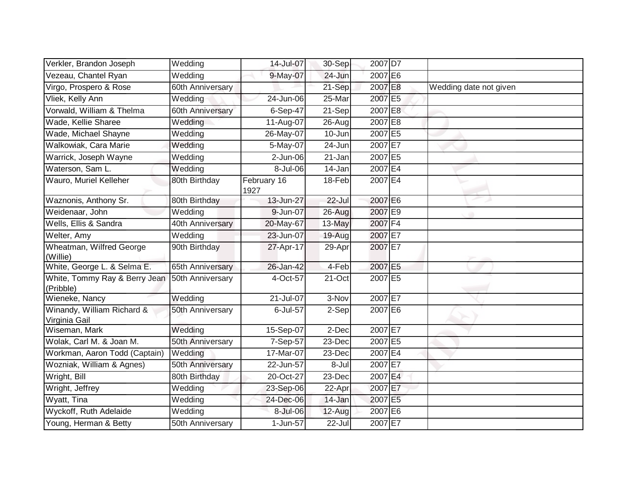| Verkler, Brandon Joseph                     | Wedding               | 14-Jul-07           | 30-Sep | 2007 D7 |                        |
|---------------------------------------------|-----------------------|---------------------|--------|---------|------------------------|
| Vezeau, Chantel Ryan                        | Wedding               | 9-May-07            | 24-Jun | 2007 E6 |                        |
| Virgo, Prospero & Rose                      | 60th Anniversary      |                     | 21-Sep | 2007 E8 | Wedding date not given |
| Vliek, Kelly Ann                            | Wedding               | 24-Jun-06           | 25-Mar | 2007 E5 |                        |
| Vorwald, William & Thelma                   | 60th Anniversary      | $6$ -Sep-47         | 21-Sep | 2007 E8 |                        |
| Wade, Kellie Sharee                         | Wedding               | 11-Aug-07           | 26-Aug | 2007 E8 |                        |
| Wade, Michael Shayne                        | Wedding               | 26-May-07           | 10-Jun | 2007 E5 |                        |
| Walkowiak, Cara Marie                       | Wedding               | 5-May-07            | 24-Jun | 2007 E7 |                        |
| Warrick, Joseph Wayne                       | Wedding               | 2-Jun-06            | 21-Jan | 2007 E5 |                        |
| Waterson, Sam L.                            | Wedding               | 8-Jul-06            | 14-Jan | 2007 E4 |                        |
| Wauro, Muriel Kelleher                      | 80th Birthday         | February 16<br>1927 | 18-Feb | 2007 E4 |                        |
| Waznonis, Anthony Sr.                       | 80th Birthday         | 13-Jun-27           | 22-Jul | 2007 E6 |                        |
| Weidenaar, John                             | Wedding               | 9-Jun-07            | 26-Aug | 2007 E9 |                        |
| Wells, Ellis & Sandra                       | 40th Anniversary      | 20-May-67           | 13-May | 2007 F4 |                        |
| Welter, Amy                                 | Wedding               | 23-Jun-07           | 19-Aug | 2007 E7 |                        |
| Wheatman, Wilfred George<br>(Willie)        | 90th Birthday         | 27-Apr-17           | 29-Apr | 2007 E7 |                        |
| White, George L. & Selma E.                 | 65th Anniversary      | 26-Jan-42           | 4-Feb  | 2007 E5 |                        |
| White, Tommy Ray & Berry Jean<br>(Pribble)  | 50th Anniversary      | 4-Oct-57            | 21-Oct | 2007 E5 |                        |
| Wieneke, Nancy                              | $\overline{W}$ edding | 21-Jul-07           | 3-Nov  | 2007 E7 |                        |
| Winandy, William Richard &<br>Virginia Gail | 50th Anniversary      | 6-Jul-57            | 2-Sep  | 2007 E6 |                        |
| Wiseman, Mark                               | Wedding               | 15-Sep-07           | 2-Dec  | 2007 E7 |                        |
| Wolak, Carl M. & Joan M.                    | 50th Anniversary      | 7-Sep-57            | 23-Dec | 2007 E5 |                        |
| Workman, Aaron Todd (Captain)               | Wedding               | 17-Mar-07           | 23-Dec | 2007 E4 |                        |
| Wozniak, William & Agnes)                   | 50th Anniversary      | $22$ -Jun-57        | 8-Jul  | 2007 E7 |                        |
| Wright, Bill                                | 80th Birthday         | 20-Oct-27           | 23-Dec | 2007 E4 |                        |
| Wright, Jeffrey                             | Wedding               | 23-Sep-06           | 22-Apr | 2007 E7 |                        |
| Wyatt, Tina                                 | Wedding               | 24-Dec-06           | 14-Jan | 2007 E5 |                        |
| Wyckoff, Ruth Adelaide                      | Wedding               | 8-Jul-06            | 12-Aug | 2007 E6 |                        |
| Young, Herman & Betty                       | 50th Anniversary      | 1-Jun-57            | 22-Jul | 2007 E7 |                        |